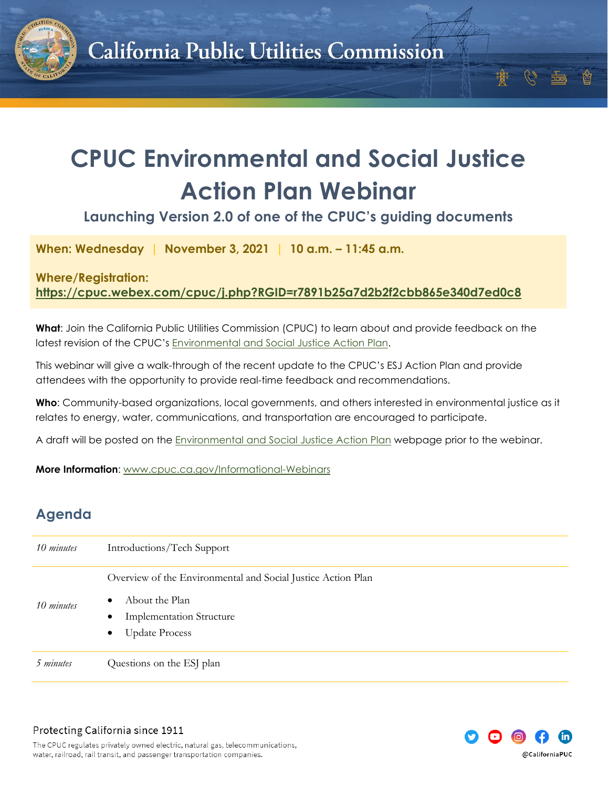

## **CPUC Environmental and Social Justice Action Plan Webinar**

**Launching Version 2.0 of one of the CPUC's guiding documents**

**When: Wednesday | November 3, 2021 | 10 a.m. – 11:45 a.m.**

## **Where/Registration:**

**<https://cpuc.webex.com/cpuc/j.php?RGID=r7891b25a7d2b2f2cbb865e340d7ed0c8>**

**What**: Join the California Public Utilities Commission (CPUC) to learn about and provide feedback on the latest revision of the CPUC's [Environmental and Social Justice Action Plan.](https://www.cpuc.ca.gov/news-and-updates/newsroom/environmental-and-social-justice-action-plan)

This webinar will give a walk-through of the recent update to the CPUC's ESJ Action Plan and provide attendees with the opportunity to provide real-time feedback and recommendations.

**Who**: Community-based organizations, local governments, and others interested in environmental justice as it relates to energy, water, communications, and transportation are encouraged to participate.

A draft will be posted on the [Environmental and Social Justice Action Plan](https://www.cpuc.ca.gov/news-and-updates/newsroom/environmental-and-social-justice-action-plan) webpage prior to the webinar.

**More Information**: [www.cpuc.ca.gov/Informational-Webinars](http://www.cpuc.ca.gov/Informational-Webinars)

## **Agenda**

| 10 minutes | Introductions/Tech Support                                                                                                                                                        |
|------------|-----------------------------------------------------------------------------------------------------------------------------------------------------------------------------------|
| 10 minutes | Overview of the Environmental and Social Justice Action Plan<br>About the Plan<br>$\bullet$<br><b>Implementation Structure</b><br>$\bullet$<br><b>Update Process</b><br>$\bullet$ |
| 5 minutes  | Questions on the ESJ plan                                                                                                                                                         |



The CPUC regulates privately owned electric, natural gas, telecommunications, water, railroad, rail transit, and passenger transportation companies.